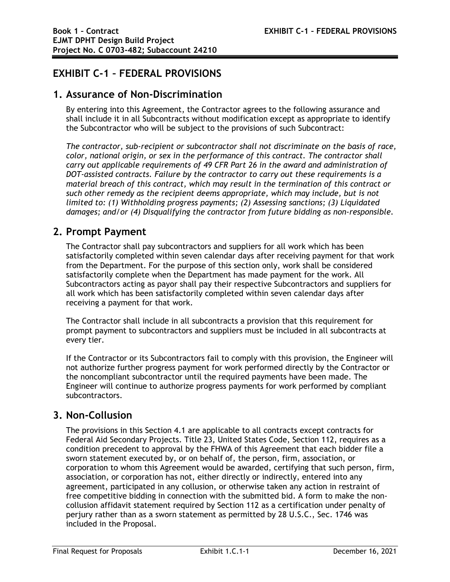# **EXHIBIT C-1 – FEDERAL PROVISIONS**

#### **1. Assurance of Non-Discrimination**

By entering into this Agreement, the Contractor agrees to the following assurance and shall include it in all Subcontracts without modification except as appropriate to identify the Subcontractor who will be subject to the provisions of such Subcontract:

*The contractor, sub-recipient or subcontractor shall not discriminate on the basis of race, color, national origin, or sex in the performance of this contract. The contractor shall carry out applicable requirements of 49 CFR Part 26 in the award and administration of DOT-assisted contracts. Failure by the contractor to carry out these requirements is a material breach of this contract, which may result in the termination of this contract or*  such other remedy as the recipient deems appropriate, which may include, but is not *limited to: (1) Withholding progress payments; (2) Assessing sanctions; (3) Liquidated damages; and/or (4) Disqualifying the contractor from future bidding as non-responsible.* 

### **2. Prompt Payment**

The Contractor shall pay subcontractors and suppliers for all work which has been satisfactorily completed within seven calendar days after receiving payment for that work from the Department. For the purpose of this section only, work shall be considered satisfactorily complete when the Department has made payment for the work. All Subcontractors acting as payor shall pay their respective Subcontractors and suppliers for all work which has been satisfactorily completed within seven calendar days after receiving a payment for that work.

The Contractor shall include in all subcontracts a provision that this requirement for prompt payment to subcontractors and suppliers must be included in all subcontracts at every tier.

If the Contractor or its Subcontractors fail to comply with this provision, the Engineer will not authorize further progress payment for work performed directly by the Contractor or the noncompliant subcontractor until the required payments have been made. The Engineer will continue to authorize progress payments for work performed by compliant subcontractors.

### **3. Non-Collusion**

The provisions in this Section 4.1 are applicable to all contracts except contracts for Federal Aid Secondary Projects. Title 23, United States Code, Section 112, requires as a condition precedent to approval by the FHWA of this Agreement that each bidder file a sworn statement executed by, or on behalf of, the person, firm, association, or corporation to whom this Agreement would be awarded, certifying that such person, firm, association, or corporation has not, either directly or indirectly, entered into any agreement, participated in any collusion, or otherwise taken any action in restraint of free competitive bidding in connection with the submitted bid. A form to make the noncollusion affidavit statement required by Section 112 as a certification under penalty of perjury rather than as a sworn statement as permitted by 28 U.S.C., Sec. 1746 was included in the Proposal.